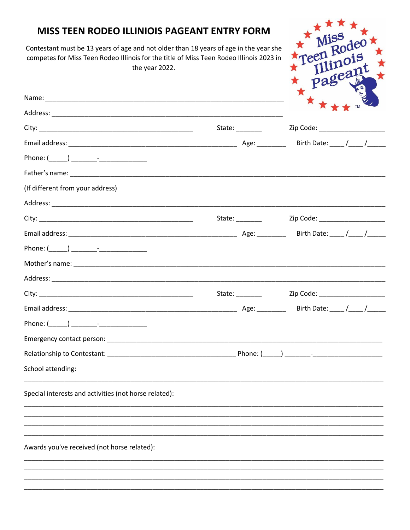## MISS TEEN RODEO ILLINIOIS PAGEANT ENTRY FORM

Contestant must be 13 years of age and not older than 18 years of age in the year she competes for Miss Teen Rodeo Illinois for the title of Miss Teen Rodeo Illinois 2023 in the year 2022.

|                                                       | $\star$<br>★★★★™ |
|-------------------------------------------------------|------------------|
|                                                       |                  |
|                                                       |                  |
|                                                       |                  |
|                                                       |                  |
|                                                       |                  |
| (If different from your address)                      |                  |
|                                                       |                  |
|                                                       |                  |
|                                                       |                  |
|                                                       |                  |
|                                                       |                  |
|                                                       |                  |
|                                                       |                  |
|                                                       |                  |
|                                                       |                  |
|                                                       |                  |
|                                                       |                  |
| School attending:                                     |                  |
| Special interests and activities (not horse related): |                  |
|                                                       |                  |
| Awards you've received (not horse related):           |                  |
|                                                       |                  |
|                                                       |                  |

Teen Rodeo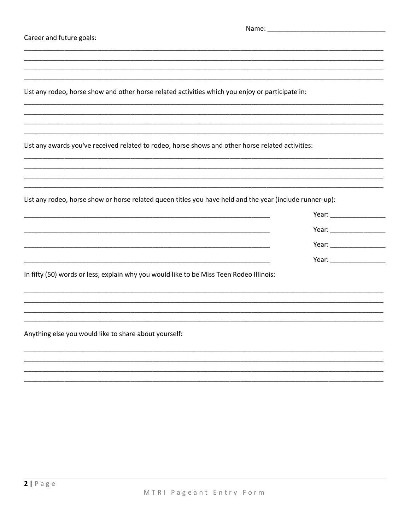| Career and future goals:                                                                                 |  |  |
|----------------------------------------------------------------------------------------------------------|--|--|
|                                                                                                          |  |  |
|                                                                                                          |  |  |
| List any rodeo, horse show and other horse related activities which you enjoy or participate in:         |  |  |
|                                                                                                          |  |  |
| List any awards you've received related to rodeo, horse shows and other horse related activities:        |  |  |
|                                                                                                          |  |  |
|                                                                                                          |  |  |
| List any rodeo, horse show or horse related queen titles you have held and the year (include runner-up): |  |  |
|                                                                                                          |  |  |
|                                                                                                          |  |  |
|                                                                                                          |  |  |
|                                                                                                          |  |  |
| In fifty (50) words or less, explain why you would like to be Miss Teen Rodeo Illinois:                  |  |  |
|                                                                                                          |  |  |
|                                                                                                          |  |  |
| Anything else you would like to share about yourself:                                                    |  |  |
|                                                                                                          |  |  |
|                                                                                                          |  |  |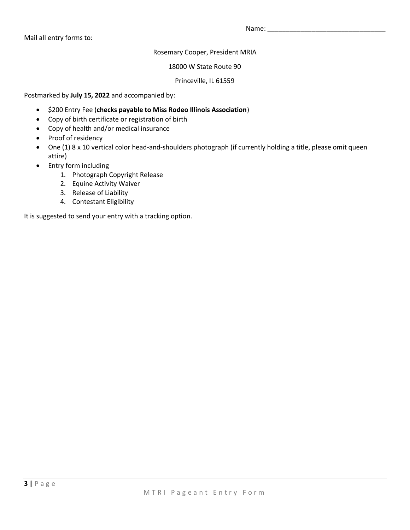Mail all entry forms to:

Name: \_\_\_\_\_\_\_\_\_\_\_\_\_\_\_\_\_\_\_\_\_\_\_\_\_\_\_\_\_\_\_\_

Rosemary Cooper, President MRIA

18000 W State Route 90

Princeville, IL 61559

Postmarked by **July 15, 2022** and accompanied by:

- \$200 Entry Fee (**checks payable to Miss Rodeo Illinois Association**)
- Copy of birth certificate or registration of birth
- Copy of health and/or medical insurance
- Proof of residency
- One (1) 8 x 10 vertical color head-and-shoulders photograph (if currently holding a title, please omit queen attire)
- Entry form including
	- 1. Photograph Copyright Release
	- 2. Equine Activity Waiver
	- 3. Release of Liability
	- 4. Contestant Eligibility

It is suggested to send your entry with a tracking option.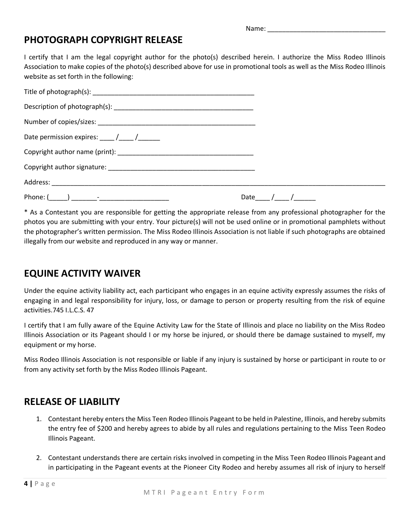Name: \_\_\_\_\_\_\_\_\_\_\_\_\_\_\_\_\_\_\_\_\_\_\_\_\_\_\_\_\_\_\_\_

### **PHOTOGRAPH COPYRIGHT RELEASE**

I certify that I am the legal copyright author for the photo(s) described herein. I authorize the Miss Rodeo Illinois Association to make copies of the photo(s) described above for use in promotional tools as well as the Miss Rodeo Illinois website as set forth in the following:

| Date permission expires: $\frac{1}{\sqrt{1-\frac{1}{2}}}$ |              |
|-----------------------------------------------------------|--------------|
|                                                           |              |
|                                                           |              |
|                                                           |              |
|                                                           | Date $/$ $/$ |

\* As a Contestant you are responsible for getting the appropriate release from any professional photographer for the photos you are submitting with your entry. Your picture(s) will not be used online or in promotional pamphlets without the photographer's written permission. The Miss Rodeo Illinois Association is not liable if such photographs are obtained illegally from our website and reproduced in any way or manner.

## **EQUINE ACTIVITY WAIVER**

Under the equine activity liability act, each participant who engages in an equine activity expressly assumes the risks of engaging in and legal responsibility for injury, loss, or damage to person or property resulting from the risk of equine activities.745 I.L.C.S. 47

I certify that I am fully aware of the Equine Activity Law for the State of Illinois and place no liability on the Miss Rodeo Illinois Association or its Pageant should I or my horse be injured, or should there be damage sustained to myself, my equipment or my horse.

Miss Rodeo Illinois Association is not responsible or liable if any injury is sustained by horse or participant in route to or from any activity set forth by the Miss Rodeo Illinois Pageant.

### **RELEASE OF LIABILITY**

- 1. Contestant hereby enters the Miss Teen Rodeo Illinois Pageant to be held in Palestine, Illinois, and hereby submits the entry fee of \$200 and hereby agrees to abide by all rules and regulations pertaining to the Miss Teen Rodeo Illinois Pageant.
- 2. Contestant understands there are certain risks involved in competing in the Miss Teen Rodeo Illinois Pageant and in participating in the Pageant events at the Pioneer City Rodeo and hereby assumes all risk of injury to herself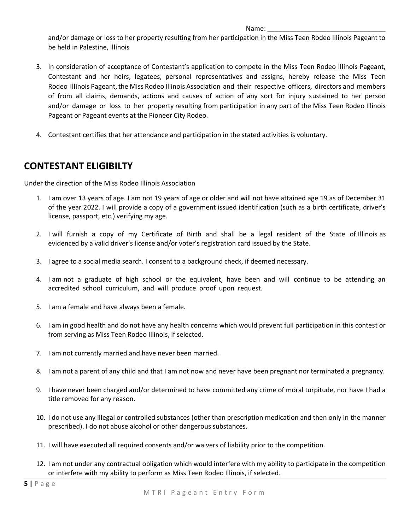#### Name:  $\Box$

and/or damage or loss to her property resulting from her participation in the Miss Teen Rodeo Illinois Pageant to be held in Palestine, Illinois

- 3. In consideration of acceptance of Contestant's application to compete in the Miss Teen Rodeo Illinois Pageant, Contestant and her heirs, legatees, personal representatives and assigns, hereby release the Miss Teen Rodeo Illinois Pageant, the Miss Rodeo Illinois Association and their respective officers, directors and members of from all claims, demands, actions and causes of action of any sort for injury sustained to her person and/or damage or loss to her property resulting from participation in any part of the Miss Teen Rodeo Illinois Pageant or Pageant events at the Pioneer City Rodeo.
- 4. Contestant certifies that her attendance and participation in the stated activities is voluntary.

# **CONTESTANT ELIGIBILTY**

Under the direction of the Miss Rodeo Illinois Association

- 1. I am over 13 years of age. I am not 19 years of age or older and will not have attained age 19 as of December 31 of the year 2022. I will provide a copy of a government issued identification (such as a birth certificate, driver's license, passport, etc.) verifying my age.
- 2. I will furnish a copy of my Certificate of Birth and shall be a legal resident of the State of Illinois as evidenced by a valid driver's license and/or voter's registration card issued by the State.
- 3. I agree to a social media search. I consent to a background check, if deemed necessary.
- 4. I am not a graduate of high school or the equivalent, have been and will continue to be attending an accredited school curriculum, and will produce proof upon request.
- 5. I am a female and have always been a female.
- 6. I am in good health and do not have any health concerns which would prevent full participation in this contest or from serving as Miss Teen Rodeo Illinois, if selected.
- 7. I am not currently married and have never been married.
- 8. I am not a parent of any child and that I am not now and never have been pregnant nor terminated a pregnancy.
- 9. I have never been charged and/or determined to have committed any crime of moral turpitude, nor have I had a title removed for any reason.
- 10. I do not use any illegal or controlled substances (other than prescription medication and then only in the manner prescribed). I do not abuse alcohol or other dangerous substances.
- 11. I will have executed all required consents and/or waivers of liability prior to the competition.
- 12. I am not under any contractual obligation which would interfere with my ability to participate in the competition or interfere with my ability to perform as Miss Teen Rodeo Illinois, if selected.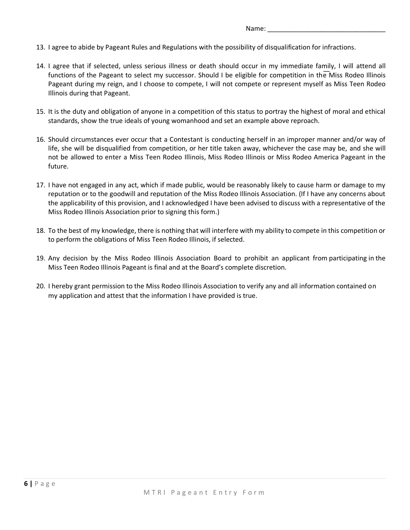Name:

- 13. I agree to abide by Pageant Rules and Regulations with the possibility of disqualification for infractions.
- 14. I agree that if selected, unless serious illness or death should occur in my immediate family, I will attend all functions of the Pageant to select my successor. Should I be eligible for competition in the Miss Rodeo Illinois Pageant during my reign, and I choose to compete, I will not compete or represent myself as Miss Teen Rodeo Illinois during that Pageant.
- 15. It is the duty and obligation of anyone in a competition of this status to portray the highest of moral and ethical standards, show the true ideals of young womanhood and set an example above reproach.
- 16. Should circumstances ever occur that a Contestant is conducting herself in an improper manner and/or way of life, she will be disqualified from competition, or her title taken away, whichever the case may be, and she will not be allowed to enter a Miss Teen Rodeo Illinois, Miss Rodeo Illinois or Miss Rodeo America Pageant in the future.
- 17. I have not engaged in any act, which if made public, would be reasonably likely to cause harm or damage to my reputation or to the goodwill and reputation of the Miss Rodeo Illinois Association. (If I have any concerns about the applicability of this provision, and I acknowledged I have been advised to discuss with a representative of the Miss Rodeo Illinois Association prior to signing this form.)
- 18. To the best of my knowledge, there is nothing that will interfere with my ability to compete in this competition or to perform the obligations of Miss Teen Rodeo Illinois, if selected.
- 19. Any decision by the Miss Rodeo Illinois Association Board to prohibit an applicant from participating in the Miss Teen Rodeo Illinois Pageant is final and at the Board's complete discretion.
- 20. I hereby grant permission to the Miss Rodeo Illinois Association to verify any and all information contained on my application and attest that the information I have provided is true.